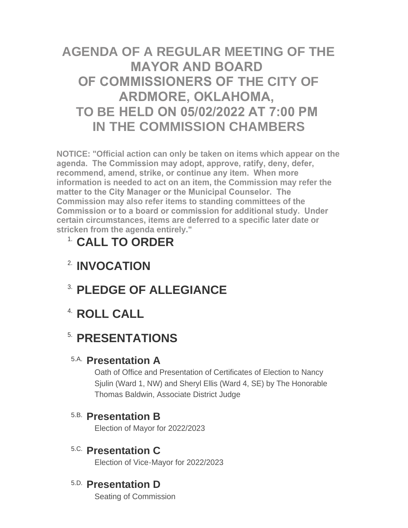# **AGENDA OF A REGULAR MEETING OF THE MAYOR AND BOARD OF COMMISSIONERS OF THE CITY OF ARDMORE, OKLAHOMA, TO BE HELD ON 05/02/2022 AT 7:00 PM IN THE COMMISSION CHAMBERS**

**NOTICE: "Official action can only be taken on items which appear on the agenda. The Commission may adopt, approve, ratify, deny, defer, recommend, amend, strike, or continue any item. When more information is needed to act on an item, the Commission may refer the matter to the City Manager or the Municipal Counselor. The Commission may also refer items to standing committees of the Commission or to a board or commission for additional study. Under certain circumstances, items are deferred to a specific later date or stricken from the agenda entirely."**

# **CALL TO ORDER** 1.

- **INVOCATION** 2.
- **PLEDGE OF ALLEGIANCE** 3.
- **ROLL CALL** 4.

# **5. PRESENTATIONS**

## **Presentation A** 5.A.

Oath of Office and Presentation of Certificates of Election to Nancy Sjulin (Ward 1, NW) and Sheryl Ellis (Ward 4, SE) by The Honorable Thomas Baldwin, Associate District Judge

## **Presentation B** 5.B.

Election of Mayor for 2022/2023

**Presentation C** 5.C.

Election of Vice-Mayor for 2022/2023

## **Presentation D** 5.D.

Seating of Commission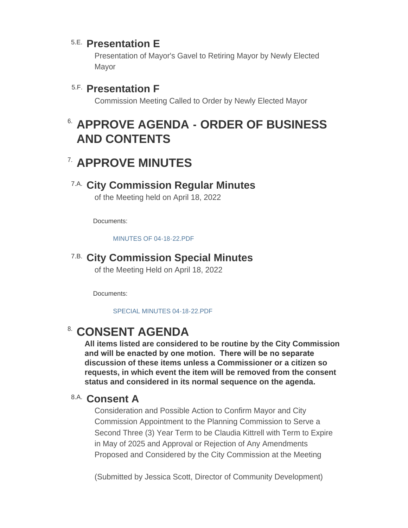## **Presentation E** 5.E.

Presentation of Mayor's Gavel to Retiring Mayor by Newly Elected Mayor

## **Presentation F** 5.F.

Commission Meeting Called to Order by Newly Elected Mayor

# **APPROVE AGENDA - ORDER OF BUSINESS**  6. **AND CONTENTS**

# **APPROVE MINUTES** 7.

### **City Commission Regular Minutes** 7.A.

of the Meeting held on April 18, 2022

Documents:

[MINUTES OF 04-18-22.PDF](http://www.ardmorecity.org/AgendaCenter/ViewFile/Item/8444?fileID=5064)

### **City Commission Special Minutes** 7.B.

of the Meeting Held on April 18, 2022

Documents:

[SPECIAL MINUTES 04-18-22.PDF](http://www.ardmorecity.org/AgendaCenter/ViewFile/Item/8445?fileID=5065)

## **CONSENT AGENDA**

**All items listed are considered to be routine by the City Commission and will be enacted by one motion. There will be no separate discussion of these items unless a Commissioner or a citizen so requests, in which event the item will be removed from the consent status and considered in its normal sequence on the agenda.**

#### **Consent A** 8.A.

Consideration and Possible Action to Confirm Mayor and City Commission Appointment to the Planning Commission to Serve a Second Three (3) Year Term to be Claudia Kittrell with Term to Expire in May of 2025 and Approval or Rejection of Any Amendments Proposed and Considered by the City Commission at the Meeting

(Submitted by Jessica Scott, Director of Community Development)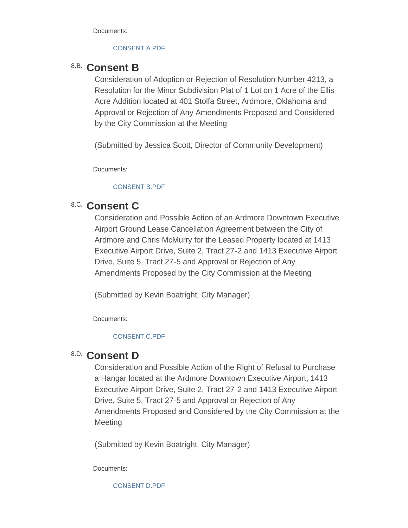Documents:

#### [CONSENT A.PDF](http://www.ardmorecity.org/AgendaCenter/ViewFile/Item/8428?fileID=5066)

### **Consent B** 8.B.

Consideration of Adoption or Rejection of Resolution Number 4213, a Resolution for the Minor Subdivision Plat of 1 Lot on 1 Acre of the Ellis Acre Addition located at 401 Stolfa Street, Ardmore, Oklahoma and Approval or Rejection of Any Amendments Proposed and Considered by the City Commission at the Meeting

(Submitted by Jessica Scott, Director of Community Development)

Documents:

#### [CONSENT B.PDF](http://www.ardmorecity.org/AgendaCenter/ViewFile/Item/8429?fileID=5067)

## 8.C. Consent C

Consideration and Possible Action of an Ardmore Downtown Executive Airport Ground Lease Cancellation Agreement between the City of Ardmore and Chris McMurry for the Leased Property located at 1413 Executive Airport Drive, Suite 2, Tract 27-2 and 1413 Executive Airport Drive, Suite 5, Tract 27-5 and Approval or Rejection of Any Amendments Proposed by the City Commission at the Meeting

(Submitted by Kevin Boatright, City Manager)

Documents:

#### [CONSENT C.PDF](http://www.ardmorecity.org/AgendaCenter/ViewFile/Item/8430?fileID=5068)

### **Consent D** 8.D.

Consideration and Possible Action of the Right of Refusal to Purchase a Hangar located at the Ardmore Downtown Executive Airport, 1413 Executive Airport Drive, Suite 2, Tract 27-2 and 1413 Executive Airport Drive, Suite 5, Tract 27-5 and Approval or Rejection of Any Amendments Proposed and Considered by the City Commission at the **Meeting** 

(Submitted by Kevin Boatright, City Manager)

Documents:

[CONSENT D.PDF](http://www.ardmorecity.org/AgendaCenter/ViewFile/Item/8431?fileID=5069)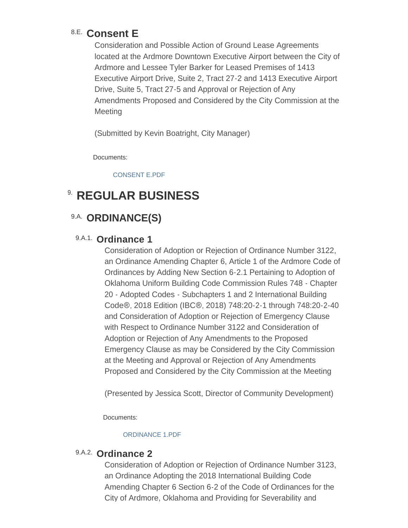## **Consent E** 8.E.

Consideration and Possible Action of Ground Lease Agreements located at the Ardmore Downtown Executive Airport between the City of Ardmore and Lessee Tyler Barker for Leased Premises of 1413 Executive Airport Drive, Suite 2, Tract 27-2 and 1413 Executive Airport Drive, Suite 5, Tract 27-5 and Approval or Rejection of Any Amendments Proposed and Considered by the City Commission at the **Meeting** 

(Submitted by Kevin Boatright, City Manager)

Documents:

[CONSENT E.PDF](http://www.ardmorecity.org/AgendaCenter/ViewFile/Item/8432?fileID=5070)

# **8. REGULAR BUSINESS**

## 9.A. ORDINANCE(S)

#### 9.A.1. Ordinance 1

Consideration of Adoption or Rejection of Ordinance Number 3122, an Ordinance Amending Chapter 6, Article 1 of the Ardmore Code of Ordinances by Adding New Section 6-2.1 Pertaining to Adoption of Oklahoma Uniform Building Code Commission Rules 748 - Chapter 20 - Adopted Codes - Subchapters 1 and 2 International Building Code®, 2018 Edition (IBC®, 2018) 748:20-2-1 through 748:20-2-40 and Consideration of Adoption or Rejection of Emergency Clause with Respect to Ordinance Number 3122 and Consideration of Adoption or Rejection of Any Amendments to the Proposed Emergency Clause as may be Considered by the City Commission at the Meeting and Approval or Rejection of Any Amendments Proposed and Considered by the City Commission at the Meeting

(Presented by Jessica Scott, Director of Community Development)

Documents:

#### [ORDINANCE 1.PDF](http://www.ardmorecity.org/AgendaCenter/ViewFile/Item/8433?fileID=5071)

#### 9.A.2. Ordinance 2

Consideration of Adoption or Rejection of Ordinance Number 3123, an Ordinance Adopting the 2018 International Building Code Amending Chapter 6 Section 6-2 of the Code of Ordinances for the City of Ardmore, Oklahoma and Providing for Severability and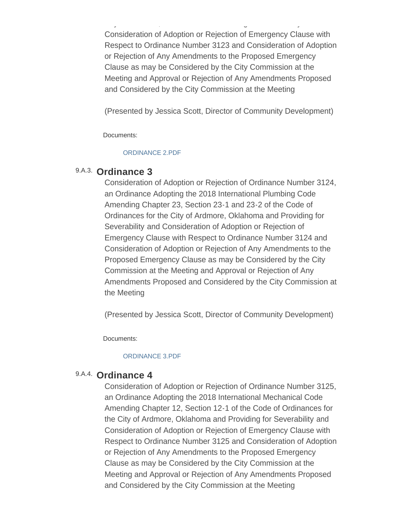City of Ardmore, Oklahoma and Providing for Severability and Consideration of Adoption or Rejection of Emergency Clause with Respect to Ordinance Number 3123 and Consideration of Adoption or Rejection of Any Amendments to the Proposed Emergency Clause as may be Considered by the City Commission at the Meeting and Approval or Rejection of Any Amendments Proposed and Considered by the City Commission at the Meeting

(Presented by Jessica Scott, Director of Community Development)

Documents:

#### [ORDINANCE 2.PDF](http://www.ardmorecity.org/AgendaCenter/ViewFile/Item/8434?fileID=5072)

#### 9.A.3. Ordinance 3

Consideration of Adoption or Rejection of Ordinance Number 3124, an Ordinance Adopting the 2018 International Plumbing Code Amending Chapter 23, Section 23-1 and 23-2 of the Code of Ordinances for the City of Ardmore, Oklahoma and Providing for Severability and Consideration of Adoption or Rejection of Emergency Clause with Respect to Ordinance Number 3124 and Consideration of Adoption or Rejection of Any Amendments to the Proposed Emergency Clause as may be Considered by the City Commission at the Meeting and Approval or Rejection of Any Amendments Proposed and Considered by the City Commission at the Meeting

(Presented by Jessica Scott, Director of Community Development)

Documents:

#### [ORDINANCE 3.PDF](http://www.ardmorecity.org/AgendaCenter/ViewFile/Item/8435?fileID=5073)

#### 9.A.4. Ordinance 4

Consideration of Adoption or Rejection of Ordinance Number 3125, an Ordinance Adopting the 2018 International Mechanical Code Amending Chapter 12, Section 12-1 of the Code of Ordinances for the City of Ardmore, Oklahoma and Providing for Severability and Consideration of Adoption or Rejection of Emergency Clause with Respect to Ordinance Number 3125 and Consideration of Adoption or Rejection of Any Amendments to the Proposed Emergency Clause as may be Considered by the City Commission at the Meeting and Approval or Rejection of Any Amendments Proposed and Considered by the City Commission at the Meeting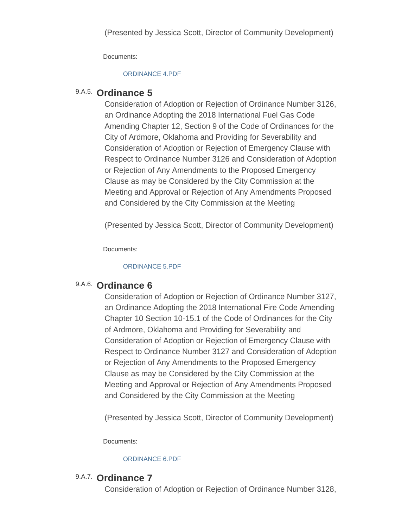Documents:

#### [ORDINANCE 4.PDF](http://www.ardmorecity.org/AgendaCenter/ViewFile/Item/8436?fileID=5074)

#### **Ordinance 5** 9.A.5.

Consideration of Adoption or Rejection of Ordinance Number 3126, an Ordinance Adopting the 2018 International Fuel Gas Code Amending Chapter 12, Section 9 of the Code of Ordinances for the City of Ardmore, Oklahoma and Providing for Severability and Consideration of Adoption or Rejection of Emergency Clause with Respect to Ordinance Number 3126 and Consideration of Adoption or Rejection of Any Amendments to the Proposed Emergency Clause as may be Considered by the City Commission at the Meeting and Approval or Rejection of Any Amendments Proposed and Considered by the City Commission at the Meeting

(Presented by Jessica Scott, Director of Community Development)

Documents:

#### [ORDINANCE 5.PDF](http://www.ardmorecity.org/AgendaCenter/ViewFile/Item/8437?fileID=5075)

#### 9.A.6. Ordinance 6

Consideration of Adoption or Rejection of Ordinance Number 3127, an Ordinance Adopting the 2018 International Fire Code Amending Chapter 10 Section 10-15.1 of the Code of Ordinances for the City of Ardmore, Oklahoma and Providing for Severability and Consideration of Adoption or Rejection of Emergency Clause with Respect to Ordinance Number 3127 and Consideration of Adoption or Rejection of Any Amendments to the Proposed Emergency Clause as may be Considered by the City Commission at the Meeting and Approval or Rejection of Any Amendments Proposed and Considered by the City Commission at the Meeting

(Presented by Jessica Scott, Director of Community Development)

Documents:

#### [ORDINANCE 6.PDF](http://www.ardmorecity.org/AgendaCenter/ViewFile/Item/8438?fileID=5076)

#### 9.A.7. Ordinance 7

Consideration of Adoption or Rejection of Ordinance Number 3128,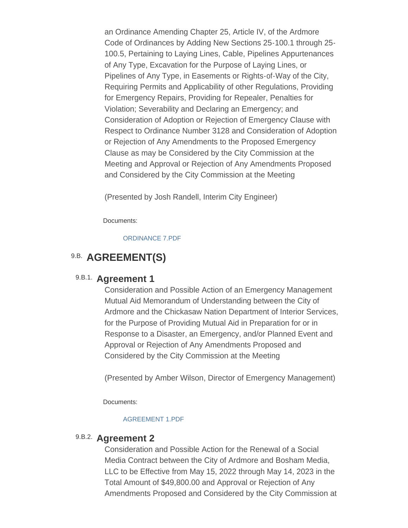an Ordinance Amending Chapter 25, Article IV, of the Ardmore Code of Ordinances by Adding New Sections 25-100.1 through 25- 100.5, Pertaining to Laying Lines, Cable, Pipelines Appurtenances of Any Type, Excavation for the Purpose of Laying Lines, or Pipelines of Any Type, in Easements or Rights-of-Way of the City, Requiring Permits and Applicability of other Regulations, Providing for Emergency Repairs, Providing for Repealer, Penalties for Violation; Severability and Declaring an Emergency; and Consideration of Adoption or Rejection of Emergency Clause with Respect to Ordinance Number 3128 and Consideration of Adoption or Rejection of Any Amendments to the Proposed Emergency Clause as may be Considered by the City Commission at the Meeting and Approval or Rejection of Any Amendments Proposed and Considered by the City Commission at the Meeting

(Presented by Josh Randell, Interim City Engineer)

Documents:

[ORDINANCE 7.PDF](http://www.ardmorecity.org/AgendaCenter/ViewFile/Item/8439?fileID=5077)

## 9.B. AGREEMENT(S)

#### 9.B.1. Agreement 1

Consideration and Possible Action of an Emergency Management Mutual Aid Memorandum of Understanding between the City of Ardmore and the Chickasaw Nation Department of Interior Services, for the Purpose of Providing Mutual Aid in Preparation for or in Response to a Disaster, an Emergency, and/or Planned Event and Approval or Rejection of Any Amendments Proposed and Considered by the City Commission at the Meeting

(Presented by Amber Wilson, Director of Emergency Management)

Documents:

#### [AGREEMENT 1.PDF](http://www.ardmorecity.org/AgendaCenter/ViewFile/Item/8440?fileID=5078)

#### 9.B.2. Agreement 2

Consideration and Possible Action for the Renewal of a Social Media Contract between the City of Ardmore and Bosham Media, LLC to be Effective from May 15, 2022 through May 14, 2023 in the Total Amount of \$49,800.00 and Approval or Rejection of Any Amendments Proposed and Considered by the City Commission at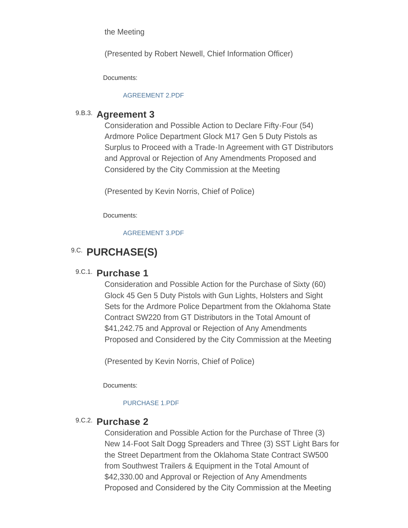the Meeting

(Presented by Robert Newell, Chief Information Officer)

Documents:

#### [AGREEMENT 2.PDF](http://www.ardmorecity.org/AgendaCenter/ViewFile/Item/8446?fileID=5079)

#### 9.B.3. Agreement 3

Consideration and Possible Action to Declare Fifty-Four (54) Ardmore Police Department Glock M17 Gen 5 Duty Pistols as Surplus to Proceed with a Trade-In Agreement with GT Distributors and Approval or Rejection of Any Amendments Proposed and Considered by the City Commission at the Meeting

(Presented by Kevin Norris, Chief of Police)

Documents:

[AGREEMENT 3.PDF](http://www.ardmorecity.org/AgendaCenter/ViewFile/Item/8441?fileID=5080)

### **9.C. PURCHASE(S)**

#### 9.C.1. **Purchase 1**

Consideration and Possible Action for the Purchase of Sixty (60) Glock 45 Gen 5 Duty Pistols with Gun Lights, Holsters and Sight Sets for the Ardmore Police Department from the Oklahoma State Contract SW220 from GT Distributors in the Total Amount of \$41,242.75 and Approval or Rejection of Any Amendments Proposed and Considered by the City Commission at the Meeting

(Presented by Kevin Norris, Chief of Police)

Documents:

#### [PURCHASE 1.PDF](http://www.ardmorecity.org/AgendaCenter/ViewFile/Item/8442?fileID=5081)

#### 9.C.2. **Purchase 2**

Consideration and Possible Action for the Purchase of Three (3) New 14-Foot Salt Dogg Spreaders and Three (3) SST Light Bars for the Street Department from the Oklahoma State Contract SW500 from Southwest Trailers & Equipment in the Total Amount of \$42,330.00 and Approval or Rejection of Any Amendments Proposed and Considered by the City Commission at the Meeting